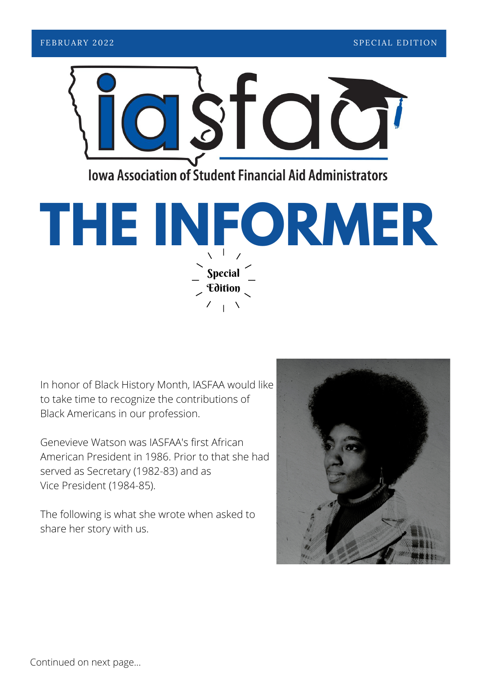



In honor of Black History Month, IASFAA would like to take time to recognize the contributions of Black Americans in our profession.

Genevieve Watson was IASFAA's first African American President in 1986. Prior to that she had served as Secretary (1982-83) and as Vice President (1984-85).

The following is what she wrote when asked to share her story with us.



Continued on next page...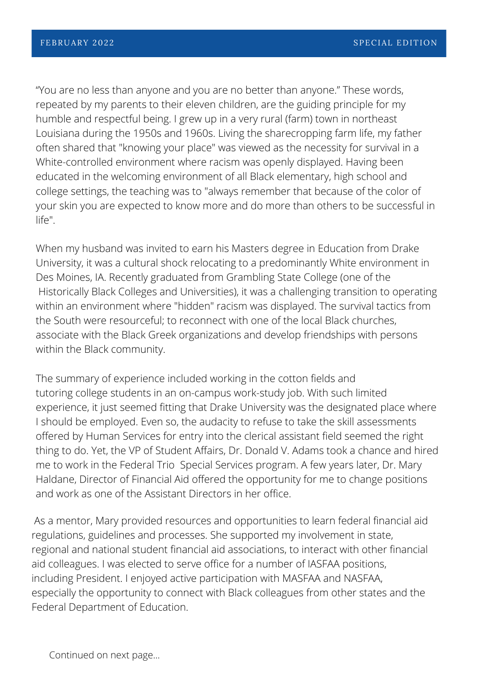"You are no less than anyone and you are no better than anyone." These words, repeated by my parents to their eleven children, are the guiding principle for my humble and respectful being. I grew up in a very rural (farm) town in northeast Louisiana during the 1950s and 1960s. Living the sharecropping farm life, my father often shared that "knowing your place" was viewed as the necessity for survival in a White-controlled environment where racism was openly displayed. Having been educated in the welcoming environment of all Black elementary, high school and college settings, the teaching was to "always remember that because of the color of your skin you are expected to know more and do more than others to be successful in life".

When my husband was invited to earn his Masters degree in Education from Drake University, it was a cultural shock relocating to a predominantly White environment in Des Moines, IA. Recently graduated from Grambling State College (one of the Historically Black Colleges and Universities), it was a challenging transition to operating within an environment where "hidden" racism was displayed. The survival tactics from the South were resourceful; to reconnect with one of the local Black churches, associate with the Black Greek organizations and develop friendships with persons within the Black community.

The summary of experience included working in the cotton fields and tutoring college students in an on-campus work-study job. With such limited experience, it just seemed fitting that Drake University was the designated place where I should be employed. Even so, the audacity to refuse to take the skill assessments offered by Human Services for entry into the clerical assistant field seemed the right thing to do. Yet, the VP of Student Affairs, Dr. Donald V. Adams took a chance and hired me to work in the Federal Trio Special Services program. A few years later, Dr. Mary Haldane, Director of Financial Aid offered the opportunity for me to change positions and work as one of the Assistant Directors in her office.

As a mentor, Mary provided resources and opportunities to learn federal financial aid regulations, guidelines and processes. She supported my involvement in state, regional and national student financial aid associations, to interact with other financial aid colleagues. I was elected to serve office for a number of IASFAA positions, including President. I enjoyed active participation with MASFAA and NASFAA, especially the opportunity to connect with Black colleagues from other states and the Federal Department of Education.

Continued on next page...